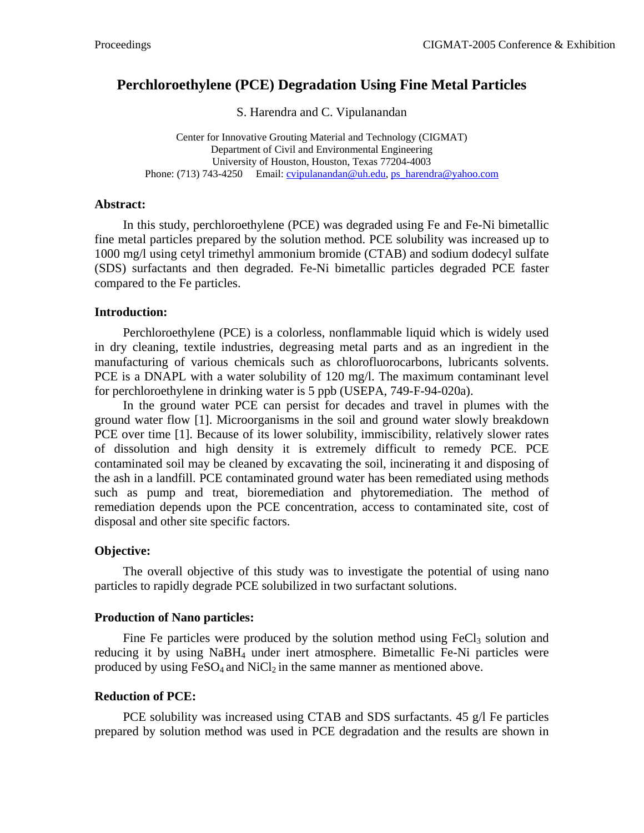# **Perchloroethylene (PCE) Degradation Using Fine Metal Particles**

S. Harendra and C. Vipulanandan

Center for Innovative Grouting Material and Technology (CIGMAT) Department of Civil and Environmental Engineering University of Houston, Houston, Texas 77204-4003 Phone: (713) 743-4250 Email: [cvipulanandan@uh.edu,](mailto:cvipulanandan@uh.edu) [ps\\_harendra@yahoo.com](mailto:ps_harendra@yahoo.com)

#### **Abstract:**

In this study, perchloroethylene (PCE) was degraded using Fe and Fe-Ni bimetallic fine metal particles prepared by the solution method. PCE solubility was increased up to 1000 mg/l using cetyl trimethyl ammonium bromide (CTAB) and sodium dodecyl sulfate (SDS) surfactants and then degraded. Fe-Ni bimetallic particles degraded PCE faster compared to the Fe particles.

### **Introduction:**

Perchloroethylene (PCE) is a colorless, nonflammable liquid which is widely used in dry cleaning, textile industries, degreasing metal parts and as an ingredient in the manufacturing of various chemicals such as chlorofluorocarbons, lubricants solvents. PCE is a DNAPL with a water solubility of 120 mg/l. The maximum contaminant level for perchloroethylene in drinking water is 5 ppb (USEPA, 749-F-94-020a).

In the ground water PCE can persist for decades and travel in plumes with the ground water flow [1]. Microorganisms in the soil and ground water slowly breakdown PCE over time [1]. Because of its lower solubility, immiscibility, relatively slower rates of dissolution and high density it is extremely difficult to remedy PCE. PCE contaminated soil may be cleaned by excavating the soil, incinerating it and disposing of the ash in a landfill. PCE contaminated ground water has been remediated using methods such as pump and treat, bioremediation and phytoremediation. The method of remediation depends upon the PCE concentration, access to contaminated site, cost of disposal and other site specific factors.

## **Objective:**

The overall objective of this study was to investigate the potential of using nano particles to rapidly degrade PCE solubilized in two surfactant solutions.

#### **Production of Nano particles:**

Fine Fe particles were produced by the solution method using  $FeCl<sub>3</sub>$  solution and reducing it by using NaBH4 under inert atmosphere. Bimetallic Fe-Ni particles were produced by using  $FeSO_4$  and  $NiCl<sub>2</sub>$  in the same manner as mentioned above.

#### **Reduction of PCE:**

PCE solubility was increased using CTAB and SDS surfactants. 45 g/l Fe particles prepared by solution method was used in PCE degradation and the results are shown in